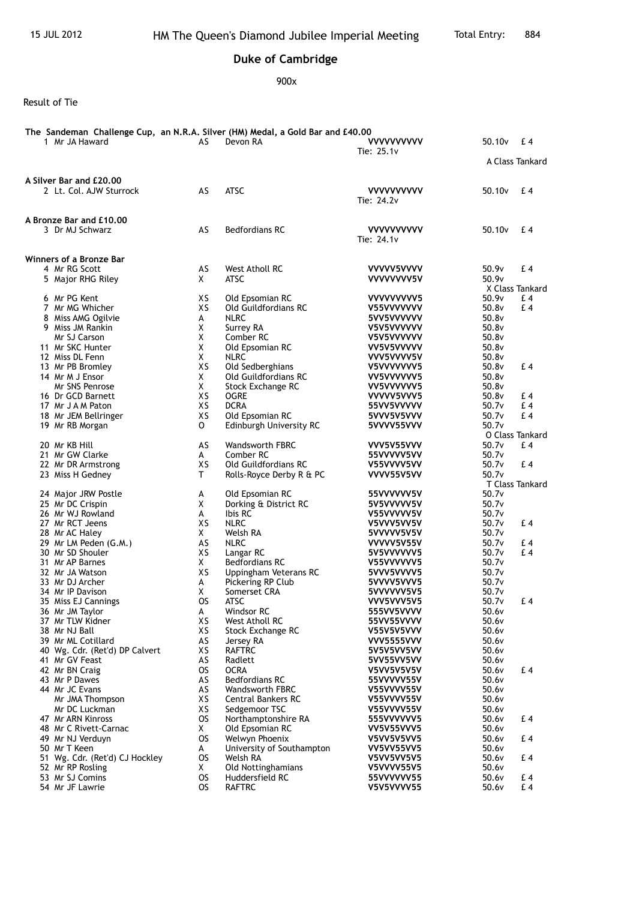## **Duke of Cambridge**

900x

Result of Tie

| The Sandeman Challenge Cup,an N.R.A. Silver (HM) Medal, a Gold Bar and £40.00<br>1 Mr JA Haward | AS             | Devon RA                               | <b>VVVVVVVVVV</b><br>Tie: $25.1v$ | 50.10 <sub>v</sub> | £4              |
|-------------------------------------------------------------------------------------------------|----------------|----------------------------------------|-----------------------------------|--------------------|-----------------|
|                                                                                                 |                |                                        |                                   |                    | A Class Tankard |
| A Silver Bar and £20,00                                                                         |                |                                        |                                   |                    |                 |
| 2 Lt. Col. AJW Sturrock                                                                         | AS             | <b>ATSC</b>                            | <b>VVVVVVVVVV</b><br>Tie: 24.2v   | 50.10 <sub>v</sub> | £4              |
| A Bronze Bar and £10,00                                                                         |                |                                        |                                   |                    |                 |
| 3 Dr MJ Schwarz                                                                                 | AS             | <b>Bedfordians RC</b>                  | <b>VVVVVVVVVV</b><br>Tie: 24.1v   | 50.10 <sub>v</sub> | £4              |
| Winners of a Bronze Bar                                                                         |                |                                        |                                   |                    |                 |
| 4 Mr RG Scott                                                                                   | AS             | West Atholl RC                         | VVVVV5VVVV                        | 50.9v              | £4              |
| 5 Major RHG Riley                                                                               | X.             | <b>ATSC</b>                            | VVVVVVV5V                         | 50.9v              | X Class Tankard |
| 6 Mr PG Kent                                                                                    | XS             | Old Epsomian RC                        | VVVVVVVV <sub>5</sub>             | 50.9v              | £ 4             |
| 7 Mr MG Whicher                                                                                 | XS             | Old Guildfordians RC                   | V55VVVVVVV                        | 50.8v              | £4              |
| 8 Miss AMG Ogilvie                                                                              | A              | <b>NLRC</b>                            | 5VV5VVVVVV                        | 50.8v              |                 |
| 9 Miss JM Rankin                                                                                | X              | Surrey RA                              | V5V5VVVVVV                        | 50.8v              |                 |
| Mr SJ Carson<br>11 Mr SKC Hunter                                                                | X<br>Χ         | Comber RC<br>Old Epsomian RC           | V5V5VVVVVV<br>VV5V5VVVVV          | 50.8v<br>50.8v     |                 |
| 12 Miss DL Fenn                                                                                 | X              | <b>NLRC</b>                            | VVV5VVVV5V                        | 50.8v              |                 |
| 13 Mr PB Bromley                                                                                | XS             | Old Sedberghians                       | V5VVVVVVV5                        | 50.8v              | £4              |
| 14 Mr M J Ensor                                                                                 | X              | Old Guildfordians RC                   | VV5VVVVVV5                        | 50.8v              |                 |
| Mr SNS Penrose                                                                                  | X              | Stock Exchange RC                      | VV5VVVVVV5                        | 50.8v              |                 |
| 16 Dr GCD Barnett                                                                               | XS             | <b>OGRE</b>                            | VVVVV5VVV5                        | 50.8v              | £ 4             |
| 17 Mr J A M Paton                                                                               | XS             | <b>DCRA</b>                            | 55VV5VVVVV                        | 50.7v              | £4              |
| 18 Mr JEM Bellringer                                                                            | XS             | Old Epsomian RC                        | 5VVV5V5VVV                        | 50.7v              | £4              |
| 19 Mr RB Morgan                                                                                 | 0              | Edinburgh University RC                | 5VVVV55VVV                        | 50.7v              | O Class Tankard |
| 20 Mr KB Hill                                                                                   | AS             | Wandsworth FBRC                        | VVV5V55VVV                        | 50.7v              | £4              |
| 21 Mr GW Clarke                                                                                 | A              | Comber RC                              | 55VVVVV5VV                        | 50.7v              |                 |
| 22 Mr DR Armstrong                                                                              | XS             | Old Guildfordians RC                   | V55VVVV5VV                        | 50.7v              | £4              |
| 23 Miss H Gedney                                                                                | T.             | Rolls-Royce Derby R & PC               | VVVV55V5VV                        | 50.7v              |                 |
|                                                                                                 |                |                                        |                                   |                    | T Class Tankard |
| 24 Major JRW Postle                                                                             | A              | Old Epsomian RC                        | 55VVVVVV5V                        | 50.7v              |                 |
| 25 Mr DC Crispin                                                                                | X              | Dorking & District RC                  | 5V5VVVVV5V                        | 50.7v              |                 |
| 26 Mr WJ Rowland                                                                                | A              | Ibis RC                                | V55VVVVV5V                        | 50.7v              |                 |
| 27 Mr RCT Jeens                                                                                 | XS             | <b>NLRC</b>                            | V5VVV5VV5V                        | 50.7v              | £ 4             |
| 28 Mr AC Haley<br>29 Mr LM Peden (G.M.)                                                         | X.<br>AS       | Welsh RA<br><b>NLRC</b>                | 5VVVVV5V5V<br>VVVVV5V55V          | 50.7v<br>50.7v     | £ 4             |
| 30 Mr SD Shouler                                                                                | XS             | Langar RC                              | 5V5VVVVVV5                        | 50.7v              | £4              |
| 31 Mr AP Barnes                                                                                 | X              | <b>Bedfordians RC</b>                  | V55VVVVVV5                        | 50.7v              |                 |
| 32 Mr JA Watson                                                                                 | XS             | Uppingham Veterans RC                  | 5VVV5VVVV5                        | 50.7v              |                 |
| 33 Mr DJ Archer                                                                                 | A              | Pickering RP Club                      | 5VVVV5VVV5                        | 50.7v              |                 |
| 34 Mr IP Davison                                                                                | X              | Somerset CRA                           | 5VVVVVV5V5                        | 50.7v              |                 |
| 35 Miss EJ Cannings                                                                             | <b>OS</b>      | ATSC                                   | VVV5VVV5V5                        | 50.7v              | £ 4             |
| 36 Mr JM Taylor                                                                                 | А              | Windsor RC                             | 555VV5VVVV                        | 50.6v              |                 |
| 37 Mr TLW Kidner<br>38 Mr NJ Ball                                                               | XS<br>XS       | West Atholl RC                         | 55VV55VVVV                        | 50.6v<br>50.6v     |                 |
| 39 Mr ML Cotillard                                                                              | AS             | Stock Exchange RC<br>Jersey RA         | V55V5V5VVV<br>VVV5555VVV          | 50.6v              |                 |
| 40 Wg. Cdr. (Ret'd) DP Calvert                                                                  | XS             | <b>RAFTRC</b>                          | 5V5V5VV5VV                        | 50.6v              |                 |
| 41 Mr GV Feast                                                                                  | AS             | Radlett                                | 5VV55VV5VV                        | 50.6v              |                 |
| 42 Mr BN Craig                                                                                  | OS.            | OCRA                                   | V5VV5V5V5V                        | 50.6v              | £4              |
| 43 Mr P Dawes                                                                                   | AS             | <b>Bedfordians RC</b>                  | 55VVVVV55V                        | 50.6v              |                 |
| 44 Mr JC Evans                                                                                  | AS             | Wandsworth FBRC                        | V55VVVV55V                        | 50.6v              |                 |
| Mr JMA Thompson                                                                                 | XS             | <b>Central Bankers RC</b>              | V55VVVV55V                        | 50.6v              |                 |
| Mr DC Luckman                                                                                   | XS             | Sedgemoor TSC                          | V55VVVV55V                        | 50.6v              |                 |
| 47 Mr ARN Kinross<br>48 Mr C Rivett-Carnac                                                      | <b>OS</b><br>X | Northamptonshire RA<br>Old Epsomian RC | 555VVVVVV5<br><b>VV5V55VVV5</b>   | 50.6v<br>50.6v     | £4              |
| 49 Mr NJ Verduyn                                                                                | <b>OS</b>      | Welwyn Phoenix                         | V5VV5V5VV5                        | 50.6v              | £4              |
| 50 Mr T Keen                                                                                    | A              | University of Southampton              | VV5VV55VV5                        | 50.6v              |                 |
| 51 Wg. Cdr. (Ret'd) CJ Hockley                                                                  | <b>OS</b>      | Welsh RA                               | V5VV5VV5V5                        | 50.6v              | £ 4             |
| 52 Mr RP Rosling                                                                                | X.             | Old Nottinghamians                     | V5VVVV55V5                        | 50.6v              |                 |
| 53 Mr SJ Comins                                                                                 | OS.            | Huddersfield RC                        | 55VVVVVV55                        | 50.6v              | £ 4             |
| 54 Mr JF Lawrie                                                                                 | <b>OS</b>      | <b>RAFTRC</b>                          | V5V5VVVV55                        | 50.6v              | £ 4             |